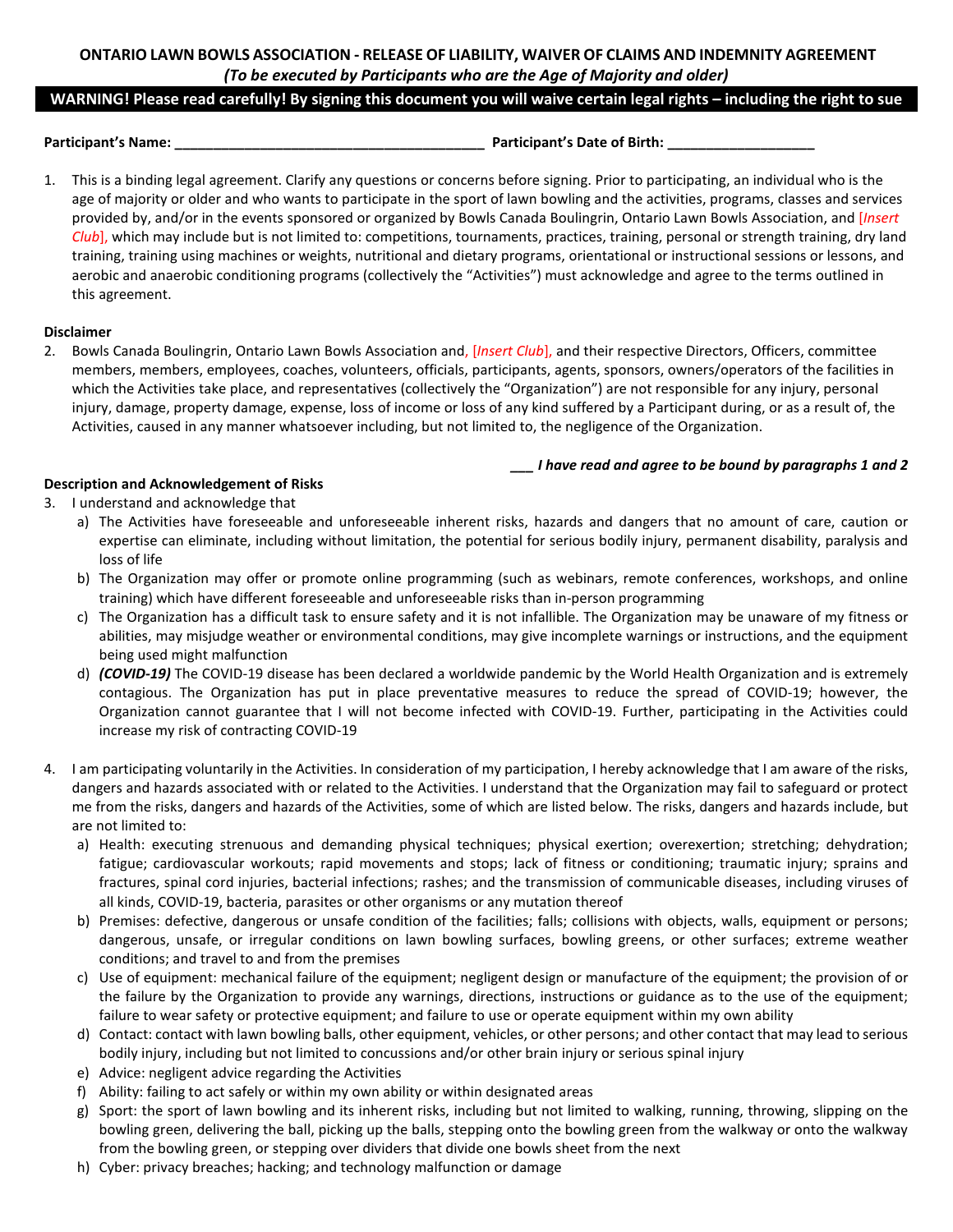# **ONTARIO LAWN BOWLS ASSOCIATION - RELEASE OF LIABILITY, WAIVER OF CLAIMS AND INDEMNITY AGREEMENT** *(To be executed by Participants who are the Age of Majority and older)*

### **WARNING! Please read carefully! By signing this document you will waive certain legal rights – including the right to sue**

**Participant's Name: \_\_\_\_\_\_\_\_\_\_\_\_\_\_\_\_\_\_\_\_\_\_\_\_\_\_\_\_\_\_\_\_\_\_\_\_\_\_\_\_ Participant's Date of Birth: \_\_\_\_\_\_\_\_\_\_\_\_\_\_\_\_\_\_\_**

1. This is a binding legal agreement. Clarify any questions or concerns before signing. Prior to participating, an individual who is the age of majority or older and who wants to participate in the sport of lawn bowling and the activities, programs, classes and services provided by, and/or in the events sponsored or organized by Bowls Canada Boulingrin, Ontario Lawn Bowls Association, and [*Insert Club*], which may include but is not limited to: competitions, tournaments, practices, training, personal or strength training, dry land training, training using machines or weights, nutritional and dietary programs, orientational or instructional sessions or lessons, and aerobic and anaerobic conditioning programs (collectively the "Activities") must acknowledge and agree to the terms outlined in this agreement.

# **Disclaimer**

2. Bowls Canada Boulingrin, Ontario Lawn Bowls Association and, [*Insert Club*], and their respective Directors, Officers, committee members, members, employees, coaches, volunteers, officials, participants, agents, sponsors, owners/operators of the facilities in which the Activities take place, and representatives (collectively the "Organization") are not responsible for any injury, personal injury, damage, property damage, expense, loss of income or loss of any kind suffered by a Participant during, or as a result of, the Activities, caused in any manner whatsoever including, but not limited to, the negligence of the Organization.

*\_\_\_ I have read and agree to be bound by paragraphs 1 and 2*

# **Description and Acknowledgement of Risks**

- 3. I understand and acknowledge that
	- a) The Activities have foreseeable and unforeseeable inherent risks, hazards and dangers that no amount of care, caution or expertise can eliminate, including without limitation, the potential for serious bodily injury, permanent disability, paralysis and loss of life
	- b) The Organization may offer or promote online programming (such as webinars, remote conferences, workshops, and online training) which have different foreseeable and unforeseeable risks than in-person programming
	- c) The Organization has a difficult task to ensure safety and it is not infallible. The Organization may be unaware of my fitness or abilities, may misjudge weather or environmental conditions, may give incomplete warnings or instructions, and the equipment being used might malfunction
	- d) *(COVID-19)* The COVID-19 disease has been declared a worldwide pandemic by the World Health Organization and is extremely contagious. The Organization has put in place preventative measures to reduce the spread of COVID-19; however, the Organization cannot guarantee that I will not become infected with COVID-19. Further, participating in the Activities could increase my risk of contracting COVID-19
- 4. I am participating voluntarily in the Activities. In consideration of my participation, I hereby acknowledge that I am aware of the risks, dangers and hazards associated with or related to the Activities. I understand that the Organization may fail to safeguard or protect me from the risks, dangers and hazards of the Activities, some of which are listed below. The risks, dangers and hazards include, but are not limited to:
	- a) Health: executing strenuous and demanding physical techniques; physical exertion; overexertion; stretching; dehydration; fatigue; cardiovascular workouts; rapid movements and stops; lack of fitness or conditioning; traumatic injury; sprains and fractures, spinal cord injuries, bacterial infections; rashes; and the transmission of communicable diseases, including viruses of all kinds, COVID-19, bacteria, parasites or other organisms or any mutation thereof
	- b) Premises: defective, dangerous or unsafe condition of the facilities; falls; collisions with objects, walls, equipment or persons; dangerous, unsafe, or irregular conditions on lawn bowling surfaces, bowling greens, or other surfaces; extreme weather conditions; and travel to and from the premises
	- c) Use of equipment: mechanical failure of the equipment; negligent design or manufacture of the equipment; the provision of or the failure by the Organization to provide any warnings, directions, instructions or guidance as to the use of the equipment; failure to wear safety or protective equipment; and failure to use or operate equipment within my own ability
	- d) Contact: contact with lawn bowling balls, other equipment, vehicles, or other persons; and other contact that may lead to serious bodily injury, including but not limited to concussions and/or other brain injury or serious spinal injury
	- e) Advice: negligent advice regarding the Activities
	- f) Ability: failing to act safely or within my own ability or within designated areas
	- g) Sport: the sport of lawn bowling and its inherent risks, including but not limited to walking, running, throwing, slipping on the bowling green, delivering the ball, picking up the balls, stepping onto the bowling green from the walkway or onto the walkway from the bowling green, or stepping over dividers that divide one bowls sheet from the next
	- h) Cyber: privacy breaches; hacking; and technology malfunction or damage